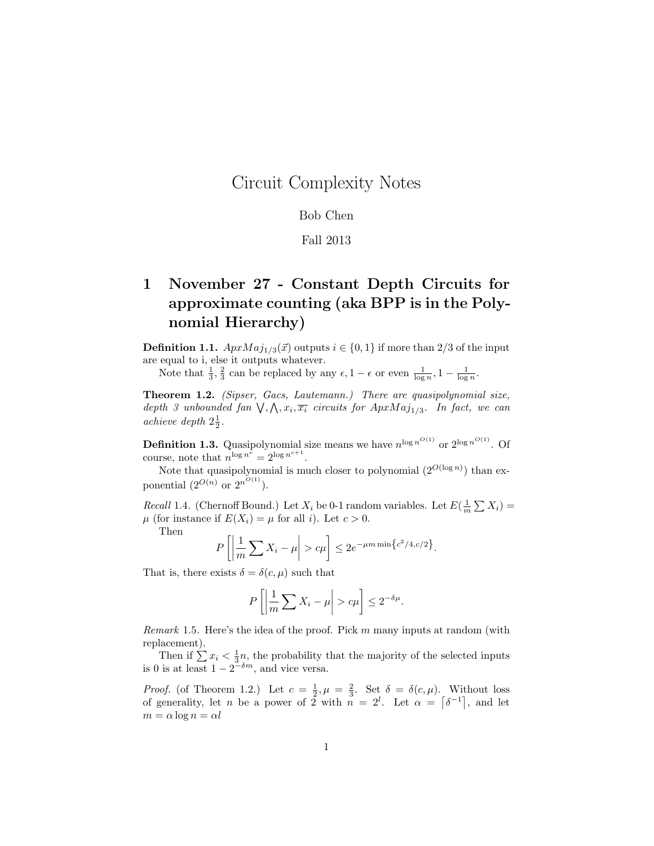## Circuit Complexity Notes

## Bob Chen

## Fall 2013

## 1 November 27 - Constant Depth Circuits for approximate counting (aka BPP is in the Polynomial Hierarchy)

**Definition 1.1.**  $ApxMaj_{1/3}(\vec{x})$  outputs  $i \in \{0, 1\}$  if more than 2/3 of the input are equal to i, else it outputs whatever.

Note that  $\frac{1}{3}, \frac{2}{3}$  can be replaced by any  $\epsilon, 1 - \epsilon$  or even  $\frac{1}{\log n}, 1 - \frac{1}{\log n}$ .

Theorem 1.2. (Sipser, Gacs, Lautemann.) There are quasipolynomial size, depth 3 unbounded fan  $\bigvee$ ,  $\bigwedge$ ,  $x_i$ ,  $\overline{x_i}$  circuits for  $ApxMaj<sub>1/3</sub>$ . In fact, we can achieve depth  $2\frac{1}{2}$ .

**Definition 1.3.** Quasipolynomial size means we have  $n^{\log n^{O(1)}}$  or  $2^{\log n^{O(1)}}$ . Of course, note that  $n^{\log n^{\tilde{c}}} = 2^{\log n^{c+1}}$ .

Note that quasipolynomial is much closer to polynomial  $(2^{O(\log n)})$  than exponential  $(2^{O(n)}$  or  $2^{n^{O(1)}})$ .

*Recall* 1.4. (Chernoff Bound.) Let  $X_i$  be 0-1 random variables. Let  $E(\frac{1}{m} \sum X_i) =$  $\mu$  (for instance if  $E(X_i) = \mu$  for all *i*). Let  $c > 0$ .

Then

$$
P\left[\left|\frac{1}{m}\sum X_i - \mu\right| > c\mu\right] \le 2e^{-\mu m \min\left\{c^2/4, c/2\right\}}.
$$

That is, there exists  $\delta = \delta(c, \mu)$  such that

$$
P\left[\left|\frac{1}{m}\sum X_i - \mu\right| > c\mu\right] \le 2^{-\delta\mu}.
$$

*Remark* 1.5. Here's the idea of the proof. Pick m many inputs at random (with replacement).

Then if  $\sum x_i < \frac{1}{3}n$ , the probability that the majority of the selected inputs is 0 is at least  $1 - 2^{-\delta m}$ , and vice versa.

*Proof.* (of Theorem 1.2.) Let  $c = \frac{1}{2}, \mu = \frac{2}{3}$ . Set  $\delta = \delta(c, \mu)$ . Without loss of generality, let n be a power of 2 with n = 2<sup>l</sup> . Let α = δ −1 , and let  $m = \alpha \log n = \alpha l$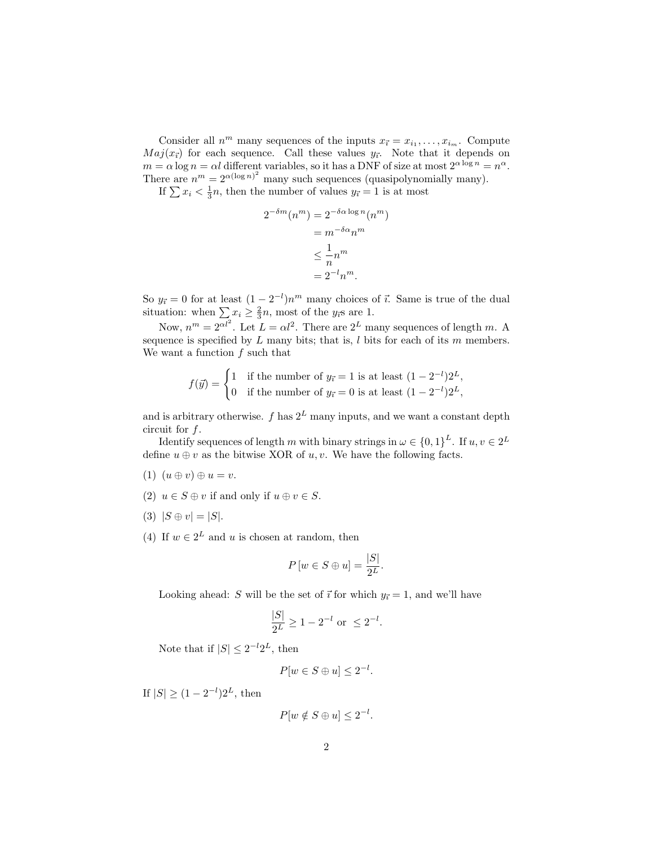Consider all  $n^m$  many sequences of the inputs  $x_{\vec{i}} = x_{i_1}, \ldots, x_{i_m}$ . Compute  $Maj(x<sub>i</sub>)$  for each sequence. Call these values  $y<sub>i</sub>$ . Note that it depends on  $m = \alpha \log n = \alpha l$  different variables, so it has a DNF of size at most  $2^{\alpha \log n} = n^{\alpha}$ . There are  $n^m = 2^{\alpha(\log n)^2}$  many such sequences (quasipolynomially many).

If  $\sum x_i < \frac{1}{3}n$ , then the number of values  $y_{\vec{i}} = 1$  is at most

$$
2^{-\delta m}(n^m) = 2^{-\delta \alpha \log n}(n^m)
$$

$$
= m^{-\delta \alpha} n^m
$$

$$
\leq \frac{1}{n} n^m
$$

$$
= 2^{-l} n^m.
$$

So  $y_{\vec{i}} = 0$  for at least  $(1 - 2^{-l})n^m$  many choices of  $\vec{i}$ . Same is true of the dual situation: when  $\sum x_i \ge \frac{2}{3}n$ , most of the  $y_i$ s are 1.

Now,  $n^m = 2^{\alpha l^2}$ . Let  $L = \alpha l^2$ . There are  $2^L$  many sequences of length m. A sequence is specified by  $L$  many bits; that is,  $l$  bits for each of its  $m$  members. We want a function  $f$  such that

$$
f(\vec{y}) = \begin{cases} 1 & \text{if the number of } y_{\vec{i}} = 1 \text{ is at least } (1 - 2^{-l})2^L, \\ 0 & \text{if the number of } y_{\vec{i}} = 0 \text{ is at least } (1 - 2^{-l})2^L, \end{cases}
$$

and is arbitrary otherwise.  $f$  has  $2^L$  many inputs, and we want a constant depth circuit for  $f$ .

Identify sequences of length m with binary strings in  $\omega \in \{0,1\}^L$ . If  $u, v \in 2^L$ define  $u \oplus v$  as the bitwise XOR of u, v. We have the following facts.

- (1)  $(u \oplus v) \oplus u = v$ .
- (2)  $u \in S \oplus v$  if and only if  $u \oplus v \in S$ .
- (3)  $|S \oplus v| = |S|$ .
- (4) If  $w \in 2^L$  and u is chosen at random, then

$$
P\left[w \in S \oplus u\right] = \frac{|S|}{2^L}
$$

.

Looking ahead: S will be the set of  $\vec{i}$  for which  $y_{\vec{i}} = 1$ , and we'll have

$$
\frac{|S|}{2^L} \ge 1 - 2^{-l} \text{ or } \le 2^{-l}.
$$

Note that if  $|S| \leq 2^{-l}2^{L}$ , then

$$
P[w \in S \oplus u] \le 2^{-l}.
$$

If  $|S| \ge (1 - 2^{-l})2^L$ , then

$$
P[w \notin S \oplus u] \le 2^{-l}.
$$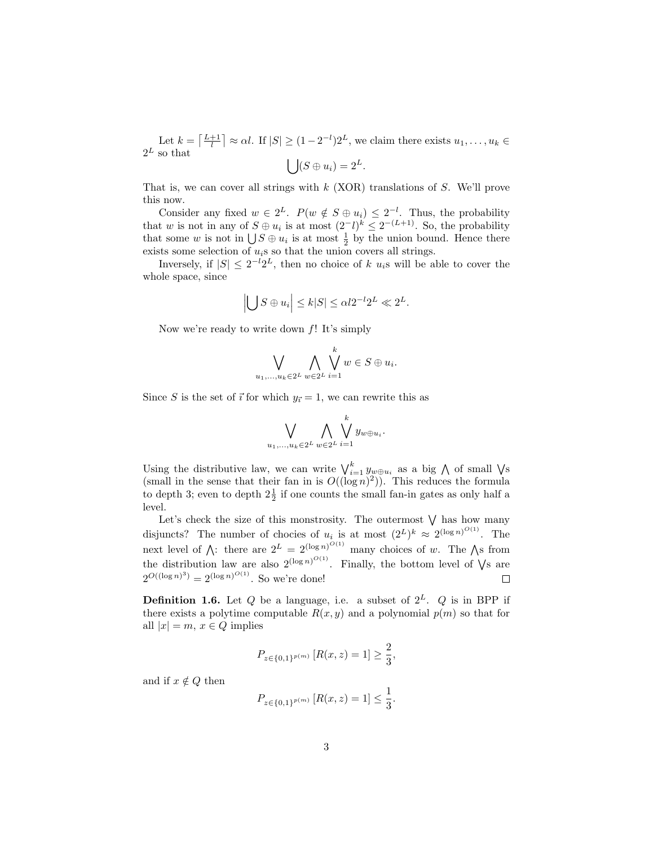Let  $k = \left\lceil \frac{L+1}{l} \right\rceil \approx \alpha l$ . If  $|S| \geq (1 - 2^{-l})2^{L}$ , we claim there exists  $u_1, \ldots, u_k \in$  $2^L$  so that  $\bigcup (S \oplus u_i) = 2^L.$ 

That is, we can cover all strings with  $k$  (XOR) translations of  $S$ . We'll prove this now.

Consider any fixed  $w \in 2^L$ .  $P(w \notin S \oplus u_i) \leq 2^{-l}$ . Thus, the probability that w is not in any of  $S \oplus u_i$  is at most  $(2^-l)^k \leq 2^{-(L+1)}$ . So, the probability that some w is not in  $\bigcup S \oplus u_i$  is at most  $\frac{1}{2}$  by the union bound. Hence there exists some selection of  $u_i$ s so that the union covers all strings.

Inversely, if  $|S| \leq 2^{-l} 2^{L}$ , then no choice of k  $u_i$ s will be able to cover the whole space, since

$$
\left| \bigcup S \oplus u_i \right| \le k|S| \le \alpha l 2^{-l} 2^L \ll 2^L.
$$

Now we're ready to write down  $f$ ! It's simply

$$
\bigvee_{u_1,\ldots,u_k\in 2^L}\bigwedge_{w\in 2^L}\bigvee_{i=1}^kw\in S\oplus u_i.
$$

Since S is the set of  $\vec{i}$  for which  $y_{\vec{i}} = 1$ , we can rewrite this as

$$
\bigvee_{u_1,\ldots,u_k\in 2^L}\bigwedge_{w\in 2^L}\bigvee_{i=1}^k y_{w\oplus u_i}.
$$

Using the distributive law, we can write  $\bigvee_{i=1}^{k} y_{w \oplus u_i}$  as a big  $\bigwedge$  of small  $\bigvee$ s (small in the sense that their fan in is  $O((\log n)^2)$ ). This reduces the formula to depth 3; even to depth  $2\frac{1}{2}$  if one counts the small fan-in gates as only half a level.

Let's check the size of this monstrosity. The outermost  $\bigvee$  has how many disjuncts? The number of chocies of  $u_i$  is at most  $(2^L)^k \approx 2^{(\log n)^{O(1)}}$ . The next level of  $\bigwedge$ : there are  $2^L = 2^{(\log n)^{O(1)}}$  many choices of w. The  $\bigwedge$ s from the distribution law are also  $2^{(\log n)^{O(1)}}$ . Finally, the bottom level of  $\sqrt{s}$  are  $2^{O((\log n)^3)} = 2^{(\log n)^{O(1)}}$ . So we're done!  $\Box$ 

**Definition 1.6.** Let Q be a language, i.e. a subset of  $2^L$ . Q is in BPP if there exists a polytime computable  $R(x, y)$  and a polynomial  $p(m)$  so that for all  $|x| = m$ ,  $x \in Q$  implies

$$
P_{z \in \{0,1\}^{p(m)}} [R(x,z) = 1] \ge \frac{2}{3},
$$

and if  $x \notin Q$  then

$$
P_{z \in \{0,1\}^{p(m)}} [R(x,z) = 1] \le \frac{1}{3}.
$$